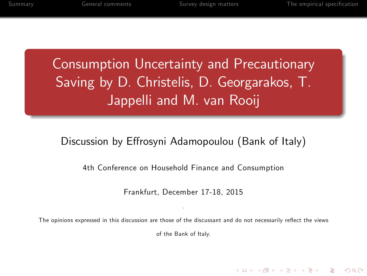Consumption Uncertainty and Precautionary Saving by D. Christelis, D. Georgarakos, T. Jappelli and M. van Rooij

#### Discussion by Effrosyni Adamopoulou (Bank of Italy)

4th Conference on Household Finance and Consumption

Frankfurt, December 17-18, 2015

. The opinions expressed in this discussion are those of the discussant and do not necessarily reflect the views

of the Bank of Italy.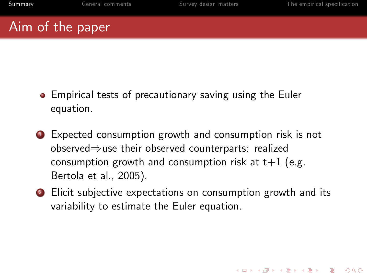### Aim of the paper

- Empirical tests of precautionary saving using the Euler equation.
- <sup>1</sup> Expected consumption growth and consumption risk is not observed $\Rightarrow$ use their observed counterparts: realized consumption growth and consumption risk at  $t+1$  (e.g. Bertola et al., 2005).
- <span id="page-1-0"></span>**2** Elicit subjective expectations on consumption growth and its variability to estimate the Euler equation.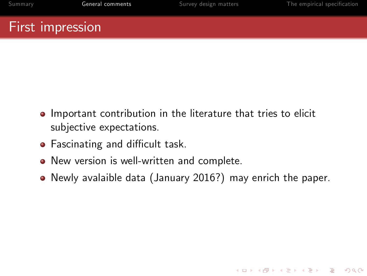### First impression

- **Important contribution in the literature that tries to elicit** subjective expectations.
- Fascinating and difficult task.
- New version is well-written and complete.
- <span id="page-2-0"></span>Newly avalaible data (January 2016?) may enrich the paper.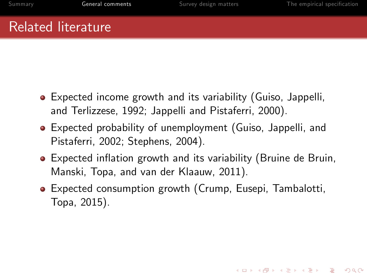### Related literature

- Expected income growth and its variability (Guiso, Jappelli, and Terlizzese, 1992; Jappelli and Pistaferri, 2000).
- Expected probability of unemployment (Guiso, Jappelli, and Pistaferri, 2002; Stephens, 2004).
- Expected inflation growth and its variability (Bruine de Bruin, Manski, Topa, and van der Klaauw, 2011).
- Expected consumption growth (Crump, Eusepi, Tambalotti, Topa, 2015).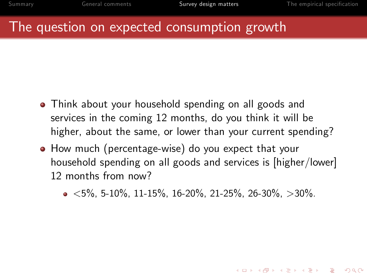#### The question on expected consumption growth

- Think about your household spending on all goods and services in the coming 12 months, do you think it will be higher, about the same, or lower than your current spending?
- <span id="page-4-0"></span>How much (percentage-wise) do you expect that your household spending on all goods and services is [higher/lower] 12 months from now?
	- $\bullet$   $\lt$ 5%, 5-10%, 11-15%, 16-20%, 21-25%, 26-30%,  $>30\%$ .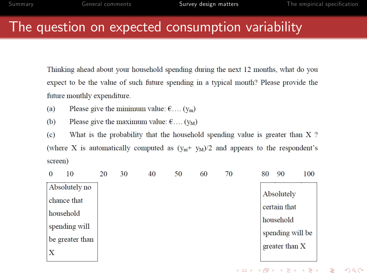#### The question on expected consumption variability

Thinking ahead about your household spending during the next 12 months, what do you expect to be the value of such future spending in a typical month? Please provide the future monthly expenditure.

- $(a)$ Please give the minimum value:  $\epsilon$ .... (y<sub>m</sub>)
- Please give the maximum value:  $\epsilon$ .... (y<sub>M</sub>)  $(b)$

 $(c)$ What is the probability that the household spending value is greater than X? (where X is automatically computed as  $(y_m + y_M)/2$  and appears to the respondent's screen)

|               | 10              | 20 | 30 | 40 | 50 | 60 | 70 | 80 | 90               | 100 |
|---------------|-----------------|----|----|----|----|----|----|----|------------------|-----|
| Absolutely no |                 |    |    |    |    |    |    |    |                  |     |
|               | chance that     |    |    |    |    |    |    |    | Absolutely       |     |
|               | household       |    |    |    |    |    |    |    | certain that     |     |
|               | spending will   |    |    |    |    |    |    |    | household        |     |
|               | be greater than |    |    |    |    |    |    |    | spending will be |     |
| X             |                 |    |    |    |    |    |    |    | greater than X   |     |
|               |                 |    |    |    |    |    |    |    |                  |     |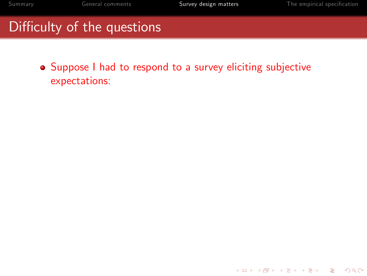K ロ ▶ K @ ▶ K 할 ▶ K 할 ▶ | 할 | © 9 Q @

# Difficulty of the questions

Suppose I had to respond to a survey eliciting subjective expectations: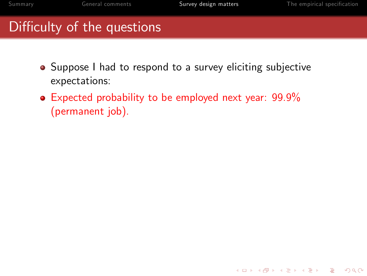- Suppose I had to respond to a survey eliciting subjective expectations:
- Expected probability to be employed next year: 99.9% (permanent job).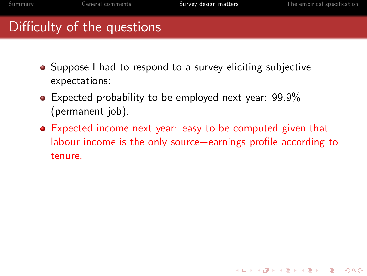- Suppose I had to respond to a survey eliciting subjective expectations:
- Expected probability to be employed next year: 99.9% (permanent job).
- Expected income next year: easy to be computed given that labour income is the only source $+$ earnings profile according to tenure.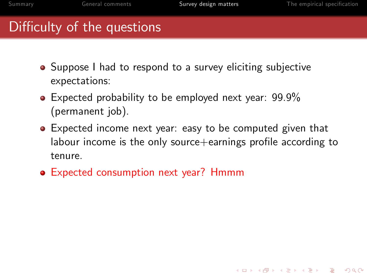- Suppose I had to respond to a survey eliciting subjective expectations:
- Expected probability to be employed next year: 99.9% (permanent job).
- **•** Expected income next year: easy to be computed given that labour income is the only source $+$ earnings profile according to tenure.
- Expected consumption next year? Hmmm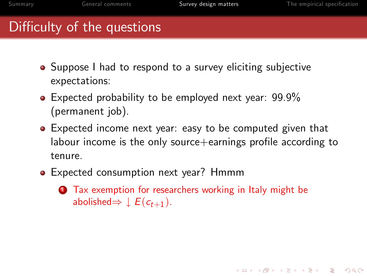- Suppose I had to respond to a survey eliciting subjective expectations:
- Expected probability to be employed next year: 99.9% (permanent job).
- **•** Expected income next year: easy to be computed given that labour income is the only source $+$ earnings profile according to tenure.
- Expected consumption next year? Hmmm
	- **1** Tax exemption for researchers working in Italy might be abolished $\Rightarrow \downarrow E(c_{t+1}).$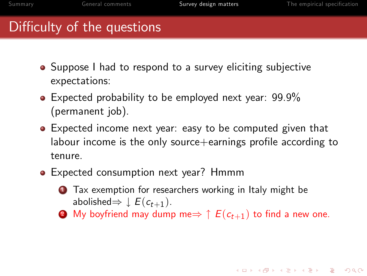- Suppose I had to respond to a survey eliciting subjective expectations:
- Expected probability to be employed next year: 99.9% (permanent job).
- **•** Expected income next year: easy to be computed given that labour income is the only source $+$ earnings profile according to tenure.
- Expected consumption next year? Hmmm
	- **1** Tax exemption for researchers working in Italy might be abolished $\Rightarrow \downarrow E(c_{t+1}).$
	- **2** My boyfriend may dump me $\Rightarrow \uparrow E(c_{t+1})$  to find a new one.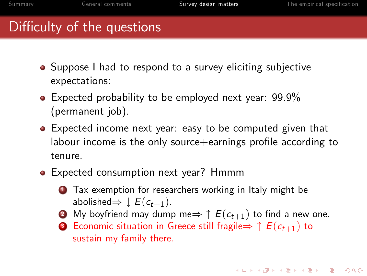- Suppose I had to respond to a survey eliciting subjective expectations:
- Expected probability to be employed next year: 99.9% (permanent job).
- **•** Expected income next year: easy to be computed given that labour income is the only source $+$ earnings profile according to tenure.
- Expected consumption next year? Hmmm
	- **1** Tax exemption for researchers working in Italy might be abolished $\Rightarrow \downarrow E(c_{t+1}).$
	- **2** My boyfriend may dump me $\Rightarrow$   $\uparrow$   $E(c_{t+1})$  to find a new one.
	- **3** Economic situation in Greece still fragile $\Rightarrow \uparrow E(c_{t+1})$  to sustain my family there.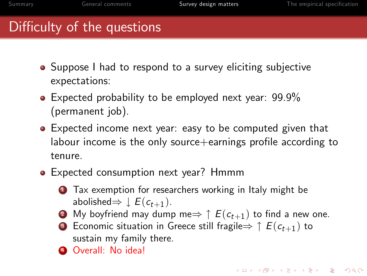- Suppose I had to respond to a survey eliciting subjective expectations:
- Expected probability to be employed next year: 99.9% (permanent job).
- **•** Expected income next year: easy to be computed given that labour income is the only source $+$ earnings profile according to tenure.
- Expected consumption next year? Hmmm
	- **1** Tax exemption for researchers working in Italy might be abolished $\Rightarrow \downarrow E(c_{t+1}).$
	- **2** My boyfriend may dump me $\Rightarrow$   $\uparrow$   $E(c_{t+1})$  to find a new one.
	- **3** Economic situation in Greece still fragile $\Rightarrow \uparrow E(c_{t+1})$  to sustain my family there.
	- **4 Overall: No idea!**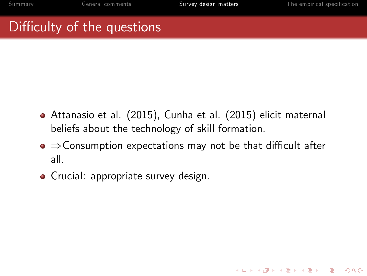- Attanasio et al. (2015), Cunha et al. (2015) elicit maternal beliefs about the technology of skill formation.
- $\bullet \Rightarrow$  Consumption expectations may not be that difficult after all.
- **•** Crucial: appropriate survey design.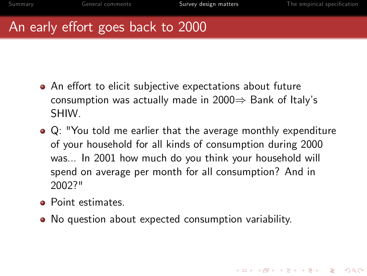### An early effort goes back to 2000

- An effort to elicit subjective expectations about future consumption was actually made in  $2000 \Rightarrow$  Bank of Italy's SHIW.
- Q: "You told me earlier that the average monthly expenditure of your household for all kinds of consumption during 2000 was... In 2001 how much do you think your household will spend on average per month for all consumption? And in 2002?"
- **•** Point estimates.
- No question about expected consumption variability.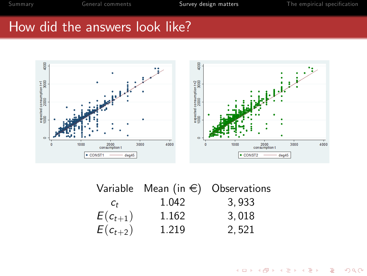イロト イ部 トイをトイをトー

活

 $299$ 

#### How did the answers look like?



|              | Variable Mean (in $\epsilon$ ) Observations |       |
|--------------|---------------------------------------------|-------|
| $C_{\pm}$    | 1.042                                       | 3,933 |
| $E(c_{t+1})$ | 1.162                                       | 3.018 |
| $E(c_{t+2})$ | 1.219                                       | 2,521 |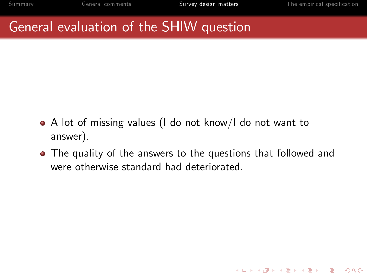### General evaluation of the SHIW question

- A lot of missing values (I do not know/I do not want to answer).
- The quality of the answers to the questions that followed and were otherwise standard had deteriorated.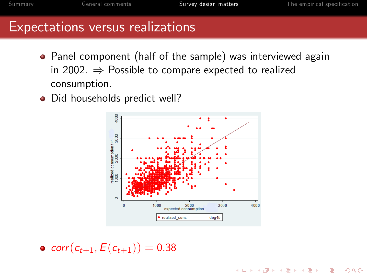**KORK ERKER ER AGA** 

#### Expectations versus realizations

- Panel component (half of the sample) was interviewed again in 2002.  $\Rightarrow$  Possible to compare expected to realized consumption.
- Did households predict well?



•  $corr(c_{t+1}, E(c_{t+1})) = 0.38$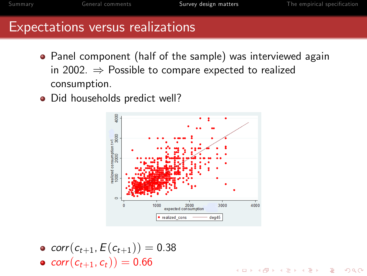K ロ ▶ K @ ▶ K 할 ▶ K 할 ▶ ... 할 ... 900

#### Expectations versus realizations

- Panel component (half of the sample) was interviewed again in 2002.  $\Rightarrow$  Possible to compare expected to realized consumption.
- Did households predict well?



• corr $(c_{t+1}, E(c_{t+1})) = 0.38$ •  $corr(c_{t+1}, c_t) = 0.66$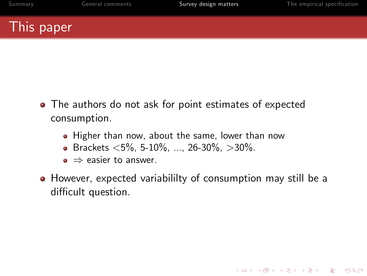### This paper

- The authors do not ask for point estimates of expected consumption.
	- Higher than now, about the same, lower than now
	- $\bullet$  Brackets <5%, 5-10%, ..., 26-30%, >30%.
	- $\bullet \Rightarrow$  easier to answer.
- However, expected variabililty of consumption may still be a difficult question.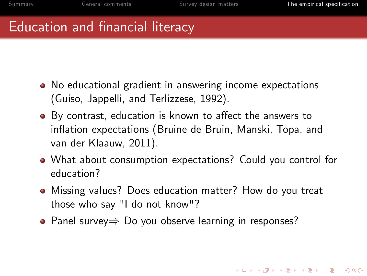### Education and financial literacy

- No educational gradient in answering income expectations (Guiso, Jappelli, and Terlizzese, 1992).
- By contrast, education is known to affect the answers to inflation expectations (Bruine de Bruin, Manski, Topa, and van der Klaauw, 2011).
- What about consumption expectations? Could you control for education?
- Missing values? Does education matter? How do you treat those who say "I do not know"?
- <span id="page-21-0"></span>• Panel survey $\Rightarrow$  Do you observe learning in responses?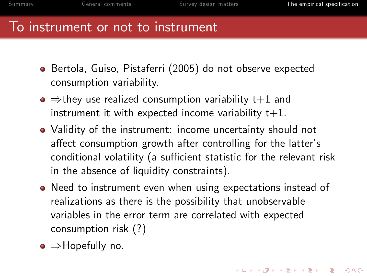#### To instrument or not to instrument

- Bertola, Guiso, Pistaferri (2005) do not observe expected consumption variability.
- $\bullet \Rightarrow$  they use realized consumption variability t+1 and instrument it with expected income variability  $t+1$ .
- Validity of the instrument: income uncertainty should not affect consumption growth after controlling for the latter's conditional volatility (a sufficient statistic for the relevant risk in the absence of liquidity constraints).
- Need to instrument even when using expectations instead of realizations as there is the possibility that unobservable variables in the error term are correlated with expected consumption risk (?)
- $\bullet \Rightarrow$  Hopefully no.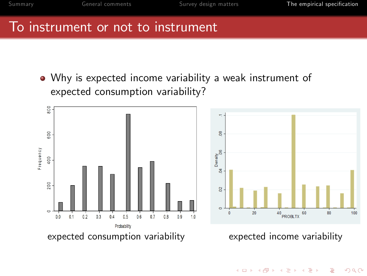$\left\{ \begin{array}{ccc} \pm & \pm & \pm \end{array} \right.$ 

 $\equiv$  $ORO$ 

#### To instrument or not to instrument

Why is expected income variability a weak instrument of expected consumption variability?